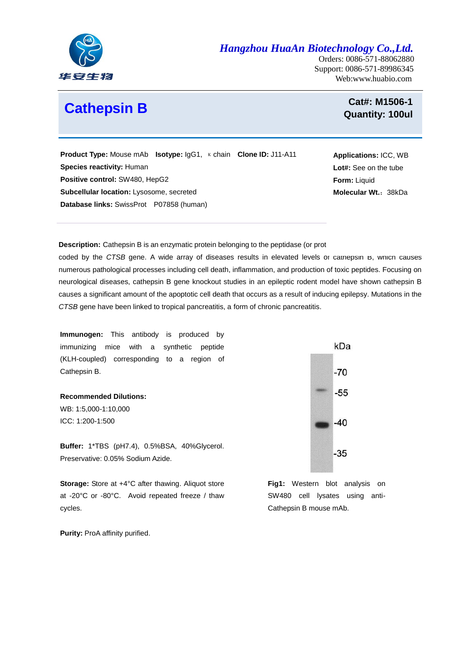

*Hangzhou HuaAn Biotechnology Co.,Ltd.*

Orders: 0086-571-88062880 Support: 0086-571-89986345 Web:www.huabio.com

## **Cathepsin B**

**Cat#: M1506-1 Quantity: 100ul** 

**Applications:** ICC, WB **Lot#:** See on the tube

**Molecular Wt.**:38kDa

**Form:** Liquid

 **Product Type:** Mouse mAb **Isotype:** IgG1, κchain **Clone ID:** J11-A11 **Species reactivity:** Human **Positive control:** SW480, HepG2 **Subcellular location:** [Lysosome,](http://www.uniprot.org/locations/SL-0158) secreted **Database links:** SwissProt P07858 (human)

**Description:** Cathepsin B is an enzymatic protein belonging to the peptidase (or prote

coded by the *CTSB* [gene.](http://en.wikipedia.org/wiki/Gene) A wide array of diseases results in elevated levels or cathepsin B, which causes numerous pathological processes including cell death, inflammation, and production of toxic peptides. Focusing on neurological diseases, cathepsin B gene knockout studies in an epileptic rodent model have shown cathepsin B causes a significant amount of the apoptotic cell death that occurs as a result of inducing epilepsy. Mutations in the *CTSB* gene have been linked to tropical pancreatitis, a form of [chronic pancreatitis.](http://en.wikipedia.org/wiki/Chronic_pancreatitis)

**Immunogen:** This antibody is produced by immunizing mice with a synthetic peptide (KLH-coupled) corresponding to a region of Cathepsin B.

**Recommended Dilutions:** WB: 1:5,000-1:10,000 ICC: 1:200-1:500

**Buffer:** 1\*TBS (pH7.4), 0.5%BSA, 40%Glycerol. Preservative: 0.05% Sodium Azide.

 **Storage:** Store at +4°C after thawing. Aliquot store cycles. at -20°C or -80°C. Avoid repeated freeze / thaw

**Purity: ProA affinity purified.** 



**Fig1:** Western blot analysis on SW480 cell lysates using anti-Cathepsin B mouse mAb.